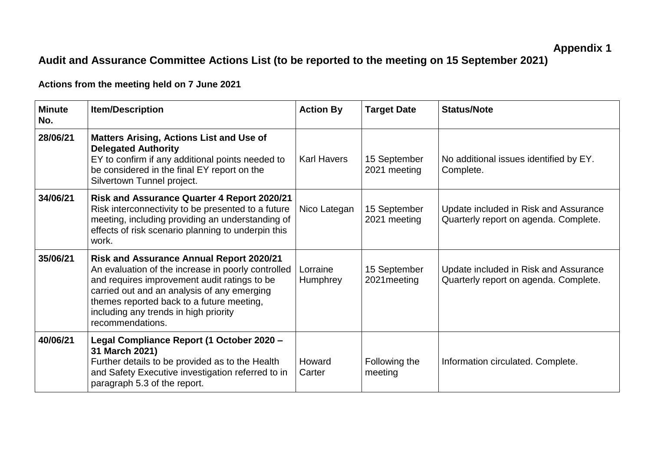## **Audit and Assurance Committee Actions List (to be reported to the meeting on 15 September 2021)**

**Actions from the meeting held on 7 June 2021**

| <b>Minute</b><br>No. | <b>Item/Description</b>                                                                                                                                                                                                                                                                                        | <b>Action By</b>     | <b>Target Date</b>           | <b>Status/Note</b>                                                             |
|----------------------|----------------------------------------------------------------------------------------------------------------------------------------------------------------------------------------------------------------------------------------------------------------------------------------------------------------|----------------------|------------------------------|--------------------------------------------------------------------------------|
| 28/06/21             | <b>Matters Arising, Actions List and Use of</b><br><b>Delegated Authority</b><br>EY to confirm if any additional points needed to<br>be considered in the final EY report on the<br>Silvertown Tunnel project.                                                                                                 | <b>Karl Havers</b>   | 15 September<br>2021 meeting | No additional issues identified by EY.<br>Complete.                            |
| 34/06/21             | <b>Risk and Assurance Quarter 4 Report 2020/21</b><br>Risk interconnectivity to be presented to a future<br>meeting, including providing an understanding of<br>effects of risk scenario planning to underpin this<br>work.                                                                                    | Nico Lategan         | 15 September<br>2021 meeting | Update included in Risk and Assurance<br>Quarterly report on agenda. Complete. |
| 35/06/21             | <b>Risk and Assurance Annual Report 2020/21</b><br>An evaluation of the increase in poorly controlled<br>and requires improvement audit ratings to be<br>carried out and an analysis of any emerging<br>themes reported back to a future meeting,<br>including any trends in high priority<br>recommendations. | Lorraine<br>Humphrey | 15 September<br>2021 meeting | Update included in Risk and Assurance<br>Quarterly report on agenda. Complete. |
| 40/06/21             | Legal Compliance Report (1 October 2020 -<br>31 March 2021)<br>Further details to be provided as to the Health<br>and Safety Executive investigation referred to in<br>paragraph 5.3 of the report.                                                                                                            | Howard<br>Carter     | Following the<br>meeting     | Information circulated. Complete.                                              |